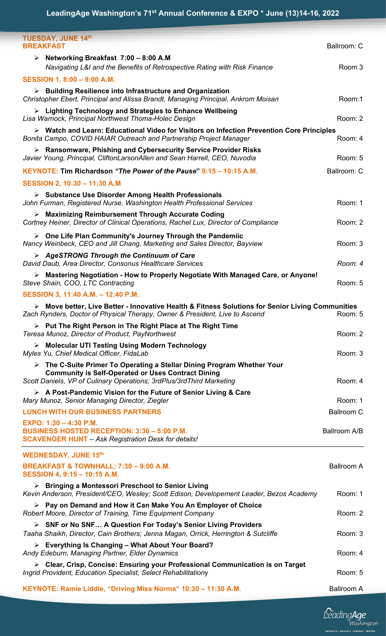| <b>TUESDAY, JUNE 14th</b><br><b>BREAKFAST</b>                                                                                                                                                                               | Ballroom: C       |
|-----------------------------------------------------------------------------------------------------------------------------------------------------------------------------------------------------------------------------|-------------------|
| Example 2:00 - 8:00 A.M<br>Navigating L&I and the Benefits of Retrospective Rating with Risk Finance                                                                                                                        | Room 3            |
| SESSION 1, 8:00 - 9:00 A.M.                                                                                                                                                                                                 |                   |
| > Building Resilience into Infrastructure and Organization<br>Christopher Ebert, Principal and Alissa Brandt, Managing Principal, Ankrom Moisan                                                                             | Room:1            |
| $\triangleright$ Lighting Technology and Strategies to Enhance Wellbeing<br>Lisa Warnock, Principal Northwest Thoma-Holec Design                                                                                            | Room: 2           |
| > Watch and Learn: Educational Video for Visitors on Infection Prevention Core Principles<br>Bonita Campo, COVID HAIAR Outreach and Partnership Project Manager                                                             | Room: 4           |
| $\triangleright$ Ransomware, Phishing and Cybersecurity Service Provider Risks<br>Javier Young, Principal, CliftonLarsonAllen and Sean Harrell, CEO, Nuvodia                                                                | Room: 5           |
| KEYNOTE: Tim Richardson "The Power of the Pause" 9:15 - 10:15 A.M.                                                                                                                                                          | Ballroom: C       |
| SESSION 2, 10:30 - 11:30 A.M                                                                                                                                                                                                |                   |
| > Substance Use Disorder Among Health Professionals<br>John Furman, Registered Nurse, Washington Health Professional Services                                                                                               | Room: 1           |
| $\triangleright$ Maximizing Reimbursement Through Accurate Coding<br>Cortney Heiner, Director of Clinical Operations, Rachel Lux, Director of Compliance                                                                    | Room: 2           |
| $\triangleright$ One Life Plan Community's Journey Through the Pandemiic<br>Nancy Weinbeck, CEO and Jill Chang, Marketing and Sales Director, Bayview                                                                       | Room: 3           |
| > AgeSTRONG Through the Continuum of Care<br>David Daub, Area Director, Consonus Healthcare Services                                                                                                                        | Room: 4           |
| > Mastering Negotiation - How to Properly Negotiate With Managed Care, or Anyone!<br>Steve Shain, COO, LTC Contracting                                                                                                      | Room: 5           |
| SESSION 3, 11:40 A.M. - 12:40 P.M.                                                                                                                                                                                          |                   |
| ▶ Move better, Live Better - Innovative Health & Fitness Solutions for Senior Living Communities<br>Zach Rynders, Doctor of Physical Therapy, Owner & President, Live to Ascend                                             | Room: 5           |
| > Put The Right Person in The Right Place at The Right Time<br>Teresa Munoz, Director of Product, PayNorthwest                                                                                                              | Room: 2           |
| > Molecular UTI Testing Using Modern Technology<br>Myles Yu, Chief Medical Officer, FidaLab                                                                                                                                 | Room: 3           |
| $\triangleright$ The C-Suite Primer To Operating a Stellar Dining Program Whether Your<br><b>Community is Self-Operated or Uses Contract Dining</b><br>Scott Daniels, VP of Culinary Operations; 3rdPlus/3rdThird Marketing | Room: 4           |
| > A Post-Pandemic Vision for the Future of Senior Living & Care<br>Mary Munoz, Senior Managing Director, Ziegler                                                                                                            | Room: 1           |
| <b>LUNCH WITH OUR BUSINESS PARTNERS</b>                                                                                                                                                                                     | <b>Ballroom C</b> |
| EXPO: 1:30 - 4:30 P.M.<br><b>BUSINESS HOSTED RECEPTION: 3:30 - 5:00 P.M.</b><br><b>SCAVENGER HUNT</b> - Ask Registration Desk for details!                                                                                  | Ballroom A/B      |
| <b>WEDNESDAY, JUNE 15th</b>                                                                                                                                                                                                 |                   |
| <b>BREAKFAST &amp; TOWNHALL: 7:30 - 9:00 A.M.</b><br>SESSION 4, 9:15 - 10:15 A.M.                                                                                                                                           | <b>Ballroom A</b> |
| $\triangleright$ Bringing a Montessori Preschool to Senior Living<br>Kevin Anderson, President/CEO, Wesley; Scott Edison, Developement Leader, Bezos Academy                                                                | Room: 1           |
| $\triangleright$ Pay on Demand and How it Can Make You An Employer of Choice<br>Robert Moore, Director of Training, Time Equipment Company                                                                                  | Room: 2           |
| > SNF or No SNF A Question For Today's Senior Living Providers<br>Taaha Shaikh, Director, Cain Brothers; Jenna Magan, Orrick, Herrington & Sutcliffe                                                                        | Room: 3           |
| $\triangleright$ Everything Is Changing – What About Your Board?<br>Andy Edeburn, Managing Partner, Elder Dynamics                                                                                                          | Room: 4           |
| $\triangleright$ Clear, Crisp, Concise: Ensuring your Professional Communication is on Target<br>Ingrid Provident, Education Specialist, Select Rehabilitationy                                                             | Room: 5           |
| KEYNOTE: Ramie Liddle, "Driving Miss Norma" 10:30 - 11:30 A.M.                                                                                                                                                              | <b>Ballroom A</b> |

LeadingAge .<br>ATE - ENGAGE - II